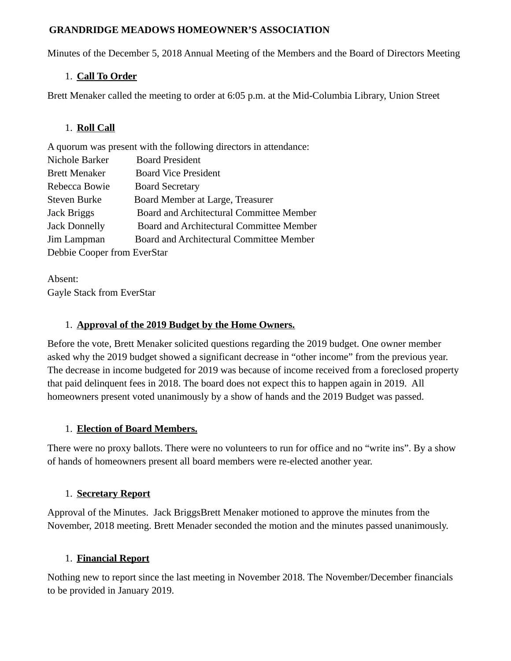#### **GRANDRIDGE MEADOWS HOMEOWNER'S ASSOCIATION**

Minutes of the December 5, 2018 Annual Meeting of the Members and the Board of Directors Meeting

### 1. **Call To Order**

Brett Menaker called the meeting to order at 6:05 p.m. at the Mid-Columbia Library, Union Street

### 1. **Roll Call**

A quorum was present with the following directors in attendance: Nichole Barker Board President Brett Menaker Board Vice President Rebecca Bowie Board Secretary Steven Burke Board Member at Large, Treasurer Jack Briggs Board and Architectural Committee Member Jack Donnelly Board and Architectural Committee Member Jim Lampman Board and Architectural Committee Member Debbie Cooper from EverStar

Absent: Gayle Stack from EverStar

### 1. **Approval of the 2019 Budget by the Home Owners.**

Before the vote, Brett Menaker solicited questions regarding the 2019 budget. One owner member asked why the 2019 budget showed a significant decrease in "other income" from the previous year. The decrease in income budgeted for 2019 was because of income received from a foreclosed property that paid delinquent fees in 2018. The board does not expect this to happen again in 2019. All homeowners present voted unanimously by a show of hands and the 2019 Budget was passed.

# 1. **Election of Board Members.**

There were no proxy ballots. There were no volunteers to run for office and no "write ins". By a show of hands of homeowners present all board members were re-elected another year.

# 1. **Secretary Report**

Approval of the Minutes. Jack BriggsBrett Menaker motioned to approve the minutes from the November, 2018 meeting. Brett Menader seconded the motion and the minutes passed unanimously.

# 1. **Financial Report**

Nothing new to report since the last meeting in November 2018. The November/December financials to be provided in January 2019.